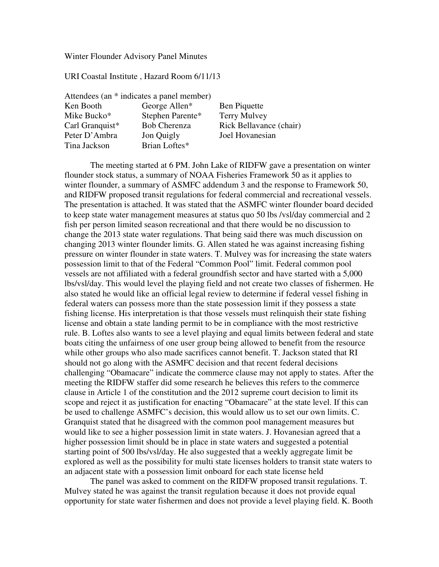#### Winter Flounder Advisory Panel Minutes

URI Coastal Institute , Hazard Room 6/11/13

| Attendees (an * indicates a panel member) |                     |                         |
|-------------------------------------------|---------------------|-------------------------|
| Ken Booth                                 | George Allen*       | <b>Ben Piquette</b>     |
| Mike Bucko*                               | Stephen Parente*    | Terry Mulvey            |
| Carl Granquist*                           | <b>Bob Cherenza</b> | Rick Bellavance (chair) |
| Peter D'Ambra                             | Jon Quigly          | Joel Hovanesian         |
| Tina Jackson                              | Brian Loftes*       |                         |

The meeting started at 6 PM. John Lake of RIDFW gave a presentation on winter flounder stock status, a summary of NOAA Fisheries Framework 50 as it applies to winter flounder, a summary of ASMFC addendum 3 and the response to Framework 50, and RIDFW proposed transit regulations for federal commercial and recreational vessels. The presentation is attached. It was stated that the ASMFC winter flounder board decided to keep state water management measures at status quo 50 lbs /vsl/day commercial and 2 fish per person limited season recreational and that there would be no discussion to change the 2013 state water regulations. That being said there was much discussion on changing 2013 winter flounder limits. G. Allen stated he was against increasing fishing pressure on winter flounder in state waters. T. Mulvey was for increasing the state waters possession limit to that of the Federal "Common Pool" limit. Federal common pool vessels are not affiliated with a federal groundfish sector and have started with a 5,000 lbs/vsl/day. This would level the playing field and not create two classes of fishermen. He also stated he would like an official legal review to determine if federal vessel fishing in federal waters can possess more than the state possession limit if they possess a state fishing license. His interpretation is that those vessels must relinquish their state fishing license and obtain a state landing permit to be in compliance with the most restrictive rule. B. Loftes also wants to see a level playing and equal limits between federal and state boats citing the unfairness of one user group being allowed to benefit from the resource while other groups who also made sacrifices cannot benefit. T. Jackson stated that RI should not go along with the ASMFC decision and that recent federal decisions challenging "Obamacare" indicate the commerce clause may not apply to states. After the meeting the RIDFW staffer did some research he believes this refers to the commerce clause in Article 1 of the constitution and the 2012 supreme court decision to limit its scope and reject it as justification for enacting "Obamacare" at the state level. If this can be used to challenge ASMFC's decision, this would allow us to set our own limits. C. Granquist stated that he disagreed with the common pool management measures but would like to see a higher possession limit in state waters. J. Hovanesian agreed that a higher possession limit should be in place in state waters and suggested a potential starting point of 500 lbs/vsl/day. He also suggested that a weekly aggregate limit be explored as well as the possibility for multi state licenses holders to transit state waters to an adjacent state with a possession limit onboard for each state license held

 The panel was asked to comment on the RIDFW proposed transit regulations. T. Mulvey stated he was against the transit regulation because it does not provide equal opportunity for state water fishermen and does not provide a level playing field. K. Booth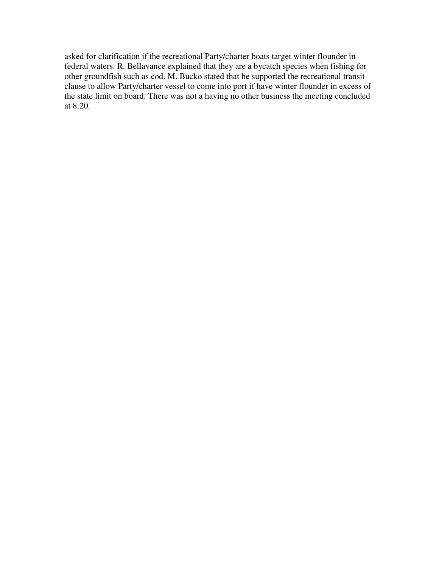asked for clarification if the recreational Party/charter boats target winter flounder in federal waters. R. Bellavance explained that they are a bycatch species when fishing for other groundfish such as cod. M. Bucko stated that he supported the recreational transit clause to allow Party/charter vessel to come into port if have winter flounder in excess of the state limit on board. There was not a having no other business the meeting concluded at 8:20.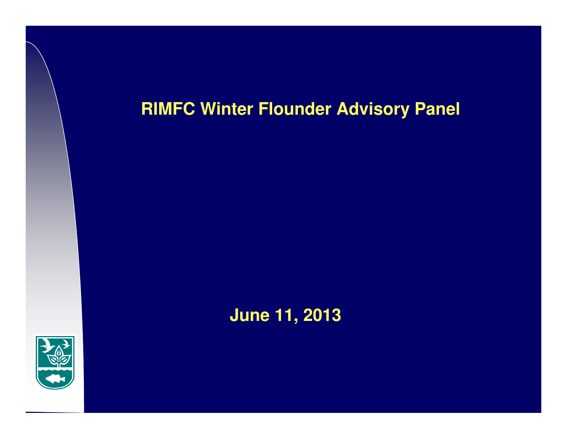## **RIMFC Winter Flounder Advisory Panel**



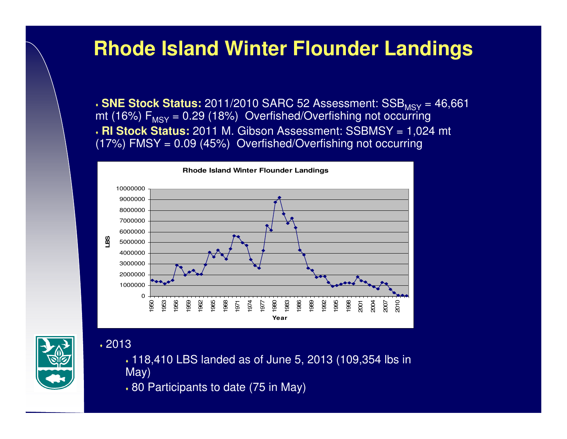# **Rhode Island Winter Flounder Landings**

**SNE Stock Status:** 2011/2010 SARC 52 Assessment: SSB<sub>MSY</sub> = 46,661 Note to 20 (1984) Overfished Contribute net contrains mt (16%)  $F_{\text{MSY}}$  = 0.29 (18%) Overfished/Overfishing not occurring **RI Stock Status:** 2011 M. Gibson Assessment: SSBMSY = 1,024 mt (17%) FMSY = 0.09 (45%) Overfished/Overfishing not occurring



2013

- 118,410 LBS landed as of June 5, 2013 (109,354 lbs in May)
- 80 Participants to date (75 in May)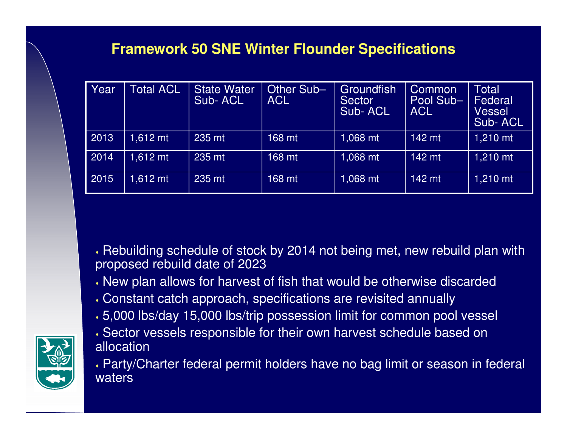### **Framework 50 SNE Winter Flounder Specifications**

| Year | <b>Total ACL</b> | <b>State Water</b><br>Sub-ACL | Other Sub-<br>ACL | Groundfish<br><b>Sector</b><br>Sub-ACL | <b>Common</b><br>Pool Sub-<br><b>ACL</b> | Total<br>Federal<br>Vessel<br>Sub-ACL |
|------|------------------|-------------------------------|-------------------|----------------------------------------|------------------------------------------|---------------------------------------|
| 2013 | 1,612 mt         | 235 mt                        | 168 mt            | 1,068 mt                               | 142 mt                                   | 1,210 mt                              |
| 2014 | $1.612$ mt       | 235 mt                        | 168 mt            | 1,068 mt                               | 142 mt                                   | 1,210 mt                              |
| 2015 | $1.612$ mt       | 235 mt                        | 168 mt            | 1,068 mt                               | 142 mt                                   | 1,210 mt                              |

 Rebuilding schedule of stock by 2014 not being met, new rebuild plan with proposed rebuild date of 2023

- New plan allows for harvest of fish that would be otherwise discarded
- Constant catch approach, specifications are revisited annually
- 5,000 lbs/day 15,000 lbs/trip possession limit for common pool vessel
- Sector vessels responsible for their own harvest schedule based on allocation

 Party/Charter federal permit holders have no bag limit or season in federal waters

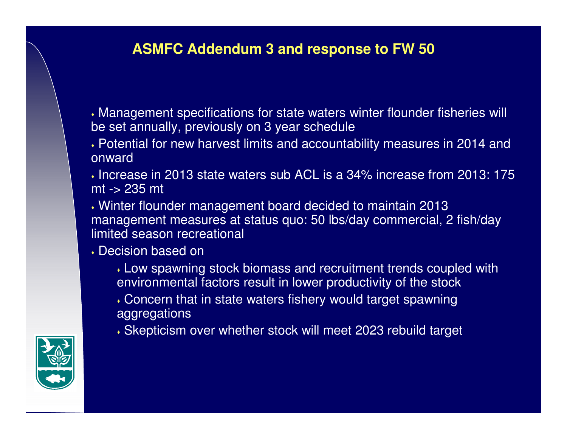## **ASMFC Addendum 3 and response to FW 50**

 Management specifications for state waters winter flounder fisheries will be set annually, previously on 3 year schedule

- Potential for new harvest limits and accountability measures in 2014 and onward
- $\boldsymbol{\cdot}$  Increase in 2013 state waters sub ACL is a 34% increase from 2013: 175 mt -> 235 mt
- Winter flounder management board decided to maintain 2013 management measures at status quo: 50 lbs/day commercial, 2 fish/day limited season recreational
- $\boldsymbol{\cdot}$  Decision based on
	- Low spawning stock biomass and recruitment trends coupled with environmental factors result in lower productivity of the stock
	- Concern that in state waters fishery would target spawning aggregations
	- Skepticism over whether stock will meet 2023 rebuild target